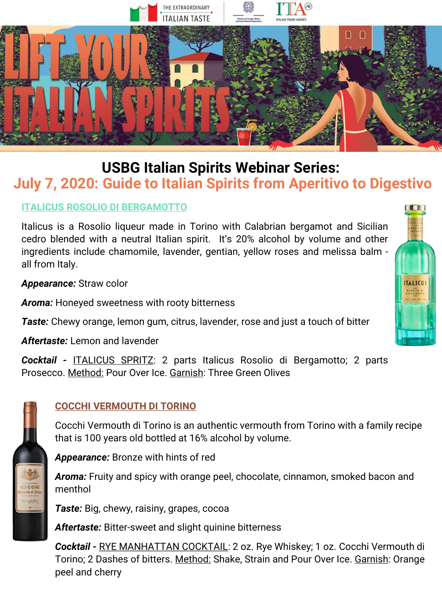

# **USBG Italian Spirits Webinar Series: July 7, 2020: Guide to Italian Spirits from Aperitivo to Digestivo**

## **ITALICUS ROSOLIO DI BERGAMOTTO**

Italicus is a Rosolio liqueur made in Torino with Calabrian bergamot and Sicilian cedro blended with a neutral Italian spirit. It's 20% alcohol by volume and other ingredients include chamomile, lavender, gentian, yellow roses and melissa balm all from Italy.

*Appearance:* Straw color

*Aroma:* Honeyed sweetness with rooty bitterness

*Taste:* Chewy orange, lemon gum, citrus, lavender, rose and just a touch of bitter

*Aftertaste:* Lemon and lavender

*Cocktail -* ITALICUS SPRITZ: 2 parts Italicus Rosolio di Bergamotto; 2 parts Prosecco. Method: Pour Over Ice. Garnish: Three Green Olives



#### **COCCHI VERMOUTH DI TORINO**

Cocchi Vermouth di Torino is an authentic vermouth from Torino with a family recipe that is 100 years old bottled at 16% alcohol by volume.

*Appearance:* Bronze with hints of red

*Aroma:* Fruity and spicy with orange peel, chocolate, cinnamon, smoked bacon and menthol

*Taste:* Big, chewy, raisiny, grapes, cocoa

*Aftertaste:* Bitter-sweet and slight quinine bitterness

*Cocktail -* RYE MANHATTAN COCKTAIL: 2 oz. Rye Whiskey; 1 oz. Cocchi Vermouth di Torino; 2 Dashes of bitters. Method: Shake, Strain and Pour Over Ice. Garnish: Orange peel and cherry